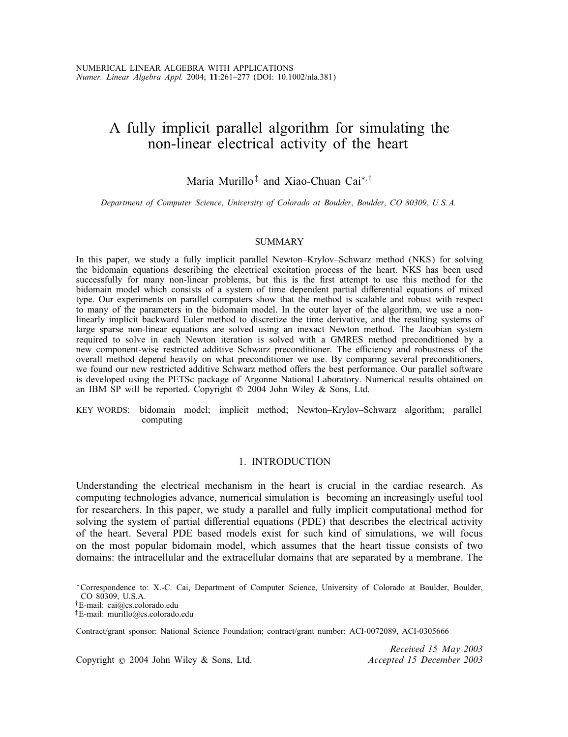# A fully implicit parallel algorithm for simulating the non-linear electrical activity of the heart

## Maria Murillo<sup>‡</sup> and Xiao-Chuan Cai<sup>\*,†</sup>

*Department of Computer Science*; *University of Colorado at Boulder*; *Boulder*; *CO 80309*; *U.S.A.*

#### SUMMARY

In this paper, we study a fully implicit parallel Newton–Krylov–Schwarz method (NKS) for solving the bidomain equations describing the electrical excitation process of the heart. NKS has been used successfully for many non-linear problems, but this is the first attempt to use this method for the bidomain model which consists of a system of time dependent partial differential equations of mixed type. Our experiments on parallel computers show that the method is scalable and robust with respect to many of the parameters in the bidomain model. In the outer layer of the algorithm, we use a nonlinearly implicit backward Euler method to discretize the time derivative, and the resulting systems of large sparse non-linear equations are solved using an inexact Newton method. The Jacobian system required to solve in each Newton iteration is solved with a GMRES method preconditioned by a new component-wise restricted additive Schwarz preconditioner. The efficiency and robustness of the overall method depend heavily on what preconditioner we use. By comparing several preconditioners, we found our new restricted additive Schwarz method offers the best performance. Our parallel software is developed using the PETSc package of Argonne National Laboratory. Numerical results obtained on an IBM SP will be reported. Copyright  $\odot$  2004 John Wiley & Sons, Ltd.

KEY WORDS: bidomain model; implicit method; Newton–Krylov–Schwarz algorithm; parallel computing

#### 1. INTRODUCTION

Understanding the electrical mechanism in the heart is crucial in the cardiac research. As computing technologies advance, numerical simulation is becoming an increasingly useful tool for researchers. In this paper, we study a parallel and fully implicit computational method for solving the system of partial differential equations (PDE) that describes the electrical activity of the heart. Several PDE based models exist for such kind of simulations, we will focus on the most popular bidomain model, which assumes that the heart tissue consists of two domains: the intracellular and the extracellular domains that are separated by a membrane. The

Copyright ? 2004 John Wiley & Sons, Ltd. *Accepted 15 December 2003*

*Received 15 May 2003*

<sup>∗</sup>Correspondence to: X.-C. Cai, Department of Computer Science, University of Colorado at Boulder, Boulder, CO 80309, U.S.A.

<sup>†</sup>E-mail: cai@cs.colorado.edu

<sup>‡</sup>E-mail: murillo@cs.colorado.edu

Contract/grant sponsor: National Science Foundation; contract/grant number: ACI-0072089, ACI-0305666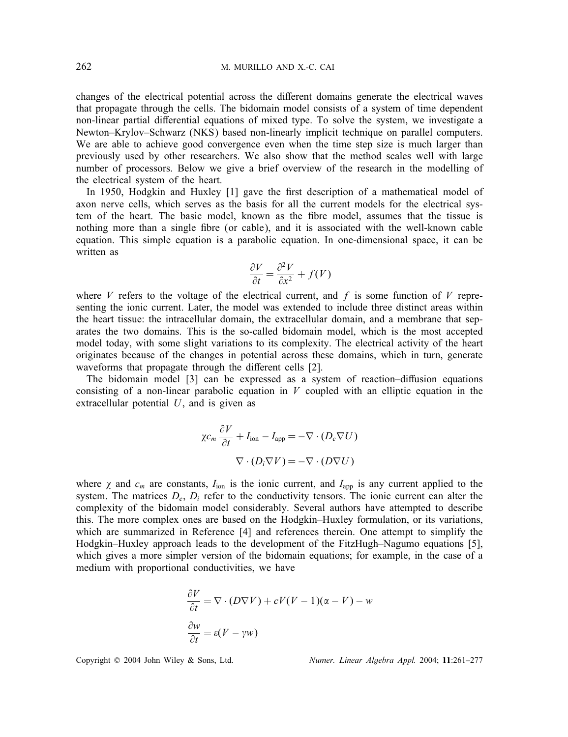changes of the electrical potential across the different domains generate the electrical waves that propagate through the cells. The bidomain model consists of a system of time dependent non-linear partial differential equations of mixed type. To solve the system, we investigate a Newton–Krylov–Schwarz (NKS) based non-linearly implicit technique on parallel computers. We are able to achieve good convergence even when the time step size is much larger than previously used by other researchers. We also show that the method scales well with large number of processors. Below we give a brief overview of the research in the modelling of the electrical system of the heart.

In 1950, Hodgkin and Huxley [1] gave the first description of a mathematical model of axon nerve cells, which serves as the basis for all the current models for the electrical system of the heart. The basic model, known as the fibre model, assumes that the tissue is nothing more than a single fibre (or cable), and it is associated with the well-known cable equation. This simple equation is a parabolic equation. In one-dimensional space, it can be written as

$$
\frac{\partial V}{\partial t} = \frac{\partial^2 V}{\partial x^2} + f(V)
$$

where V refers to the voltage of the electrical current, and f is some function of V representing the ionic current. Later, the model was extended to include three distinct areas within the heart tissue: the intracellular domain, the extracellular domain, and a membrane that separates the two domains. This is the so-called bidomain model, which is the most accepted model today, with some slight variations to its complexity. The electrical activity of the heart originates because of the changes in potential across these domains, which in turn, generate waveforms that propagate through the different cells [2].

The bidomain model [3] can be expressed as a system of reaction–diffusion equations consisting of a non-linear parabolic equation in  $V$  coupled with an elliptic equation in the extracellular potential  $U$ , and is given as

$$
\chi c_m \frac{\partial V}{\partial t} + I_{\text{ion}} - I_{\text{app}} = -\nabla \cdot (D_e \nabla U)
$$

$$
\nabla \cdot (D_i \nabla V) = -\nabla \cdot (D \nabla U)
$$

where  $\chi$  and  $c_m$  are constants,  $I_{\text{ion}}$  is the ionic current, and  $I_{\text{app}}$  is any current applied to the system. The matrices  $D_e$ ,  $D_i$  refer to the conductivity tensors. The ionic current can alter the complexity of the bidomain model considerably. Several authors have attempted to describe this. The more complex ones are based on the Hodgkin–Huxley formulation, or its variations, which are summarized in Reference [4] and references therein. One attempt to simplify the Hodgkin–Huxley approach leads to the development of the FitzHugh–Nagumo equations [5], which gives a more simpler version of the bidomain equations; for example, in the case of a medium with proportional conductivities, we have

$$
\frac{\partial V}{\partial t} = \nabla \cdot (D \nabla V) + cV(V - 1)(\alpha - V) - w
$$

$$
\frac{\partial w}{\partial t} = \varepsilon (V - \gamma w)
$$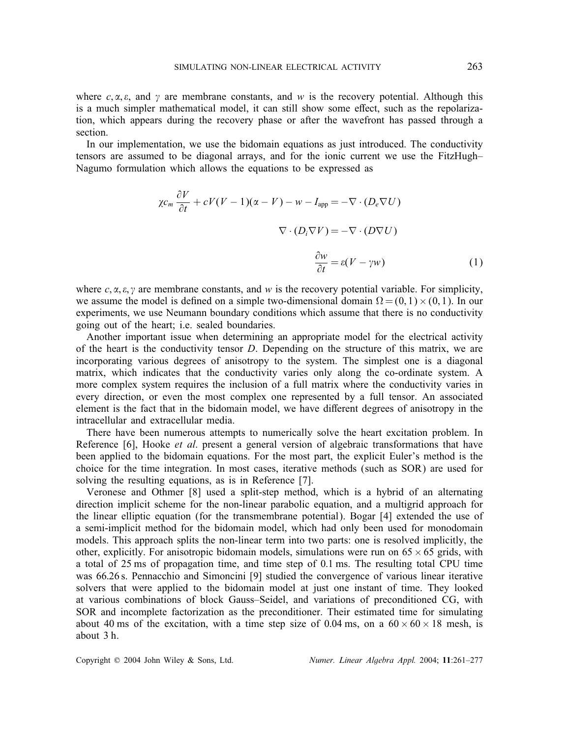where  $c, \alpha, \varepsilon$ , and  $\gamma$  are membrane constants, and w is the recovery potential. Although this is a much simpler mathematical model, it can still show some effect, such as the repolarization, which appears during the recovery phase or after the wavefront has passed through a section.

In our implementation, we use the bidomain equations as just introduced. The conductivity tensors are assumed to be diagonal arrays, and for the ionic current we use the FitzHugh– Nagumo formulation which allows the equations to be expressed as

$$
\chi c_m \frac{\partial V}{\partial t} + cV(V-1)(\alpha - V) - w - I_{app} = -\nabla \cdot (D_e \nabla U)
$$

$$
\nabla \cdot (D_i \nabla V) = -\nabla \cdot (D \nabla U)
$$

$$
\frac{\partial w}{\partial t} = \varepsilon (V - \gamma w) \tag{1}
$$

where  $c, \alpha, \varepsilon, \gamma$  are membrane constants, and w is the recovery potential variable. For simplicity, we assume the model is defined on a simple two-dimensional domain  $\Omega = (0, 1) \times (0, 1)$ . In our experiments, we use Neumann boundary conditions which assume that there is no conductivity going out of the heart; i.e. sealed boundaries.

Another important issue when determining an appropriate model for the electrical activity of the heart is the conductivity tensor D. Depending on the structure of this matrix, we are incorporating various degrees of anisotropy to the system. The simplest one is a diagonal matrix, which indicates that the conductivity varies only along the co-ordinate system. A more complex system requires the inclusion of a full matrix where the conductivity varies in every direction, or even the most complex one represented by a full tensor. An associated element is the fact that in the bidomain model, we have different degrees of anisotropy in the intracellular and extracellular media.

There have been numerous attempts to numerically solve the heart excitation problem. In Reference [6], Hooke *et al*. present a general version of algebraic transformations that have been applied to the bidomain equations. For the most part, the explicit Euler's method is the choice for the time integration. In most cases, iterative methods (such as SOR) are used for solving the resulting equations, as is in Reference [7].

Veronese and Othmer [8] used a split-step method, which is a hybrid of an alternating direction implicit scheme for the non-linear parabolic equation, and a multigrid approach for the linear elliptic equation (for the transmembrane potential). Bogar [4] extended the use of a semi-implicit method for the bidomain model, which had only been used for monodomain models. This approach splits the non-linear term into two parts: one is resolved implicitly, the other, explicitly. For anisotropic bidomain models, simulations were run on  $65 \times 65$  grids, with a total of 25 ms of propagation time, and time step of 0:1 ms. The resulting total CPU time was 66.26 s. Pennacchio and Simoncini [9] studied the convergence of various linear iterative solvers that were applied to the bidomain model at just one instant of time. They looked at various combinations of block Gauss–Seidel, and variations of preconditioned CG, with SOR and incomplete factorization as the preconditioner. Their estimated time for simulating about 40 ms of the excitation, with a time step size of 0.04 ms, on a  $60 \times 60 \times 18$  mesh, is about 3 h.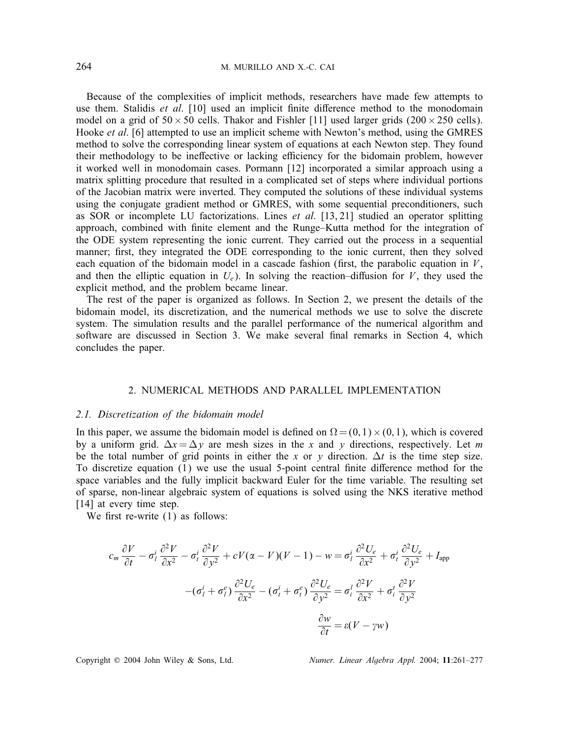Because of the complexities of implicit methods, researchers have made few attempts to use them. Stalidis *et al.* [10] used an implicit finite difference method to the monodomain model on a grid of  $50 \times 50$  cells. Thakor and Fishler [11] used larger grids ( $200 \times 250$  cells). Hooke *et al*. [6] attempted to use an implicit scheme with Newton's method, using the GMRES method to solve the corresponding linear system of equations at each Newton step. They found their methodology to be ineffective or lacking efficiency for the bidomain problem, however it worked well in monodomain cases. Pormann [12] incorporated a similar approach using a matrix splitting procedure that resulted in a complicated set of steps where individual portions of the Jacobian matrix were inverted. They computed the solutions of these individual systems using the conjugate gradient method or GMRES, with some sequential preconditioners, such as SOR or incomplete LU factorizations. Lines *et al*. [13, 21] studied an operator splitting approach, combined with nite element and the Runge–Kutta method for the integration of the ODE system representing the ionic current. They carried out the process in a sequential manner; first, they integrated the ODE corresponding to the ionic current, then they solved each equation of the bidomain model in a cascade fashion (first, the parabolic equation in  $V$ , and then the elliptic equation in  $U_e$ ). In solving the reaction-diffusion for V, they used the explicit method, and the problem became linear.

The rest of the paper is organized as follows. In Section 2, we present the details of the bidomain model, its discretization, and the numerical methods we use to solve the discrete system. The simulation results and the parallel performance of the numerical algorithm and software are discussed in Section 3. We make several final remarks in Section 4, which concludes the paper.

#### 2. NUMERICAL METHODS AND PARALLEL IMPLEMENTATION

#### *2.1. Discretization of the bidomain model*

In this paper, we assume the bidomain model is defined on  $\Omega = (0, 1) \times (0, 1)$ , which is covered by a uniform grid.  $\Delta x = \Delta y$  are mesh sizes in the x and y directions, respectively. Let m be the total number of grid points in either the x or y direction.  $\Delta t$  is the time step size. To discretize equation  $(1)$  we use the usual 5-point central finite difference method for the space variables and the fully implicit backward Euler for the time variable. The resulting set of sparse, non-linear algebraic system of equations is solved using the NKS iterative method [14] at every time step.

We first re-write  $(1)$  as follows:

$$
c_m \frac{\partial V}{\partial t} - \sigma_l^i \frac{\partial^2 V}{\partial x^2} - \sigma_l^i \frac{\partial^2 V}{\partial y^2} + cV(\alpha - V)(V - 1) - w = \sigma_l^i \frac{\partial^2 U_e}{\partial x^2} + \sigma_l^i \frac{\partial^2 U_e}{\partial y^2} + I_{app}
$$

$$
-(\sigma_l^i + \sigma_l^e) \frac{\partial^2 U_e}{\partial x^2} - (\sigma_l^i + \sigma_l^e) \frac{\partial^2 U_e}{\partial y^2} = \sigma_l^i \frac{\partial^2 V}{\partial x^2} + \sigma_l^i \frac{\partial^2 V}{\partial y^2}
$$

$$
\frac{\partial w}{\partial t} = \varepsilon (V - \gamma w)
$$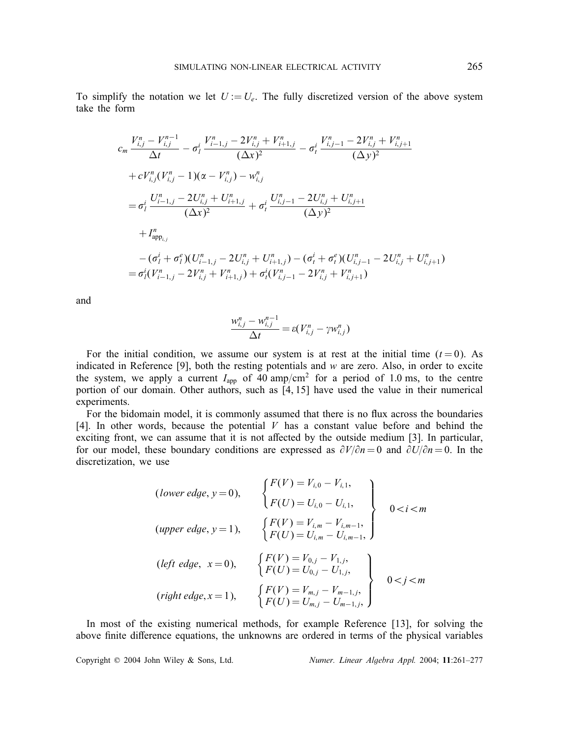To simplify the notation we let  $U := U_e$ . The fully discretized version of the above system take the form

$$
c_{m} \frac{V_{i,j}^{n} - V_{i,j}^{n-1}}{\Delta t} - \sigma_{i}^{i} \frac{V_{i-1,j}^{n} - 2V_{i,j}^{n} + V_{i+1,j}^{n}}{(\Delta x)^{2}} - \sigma_{t}^{i} \frac{V_{i,j-1}^{n} - 2V_{i,j}^{n} + V_{i,j+1}^{n}}{(\Delta y)^{2}}
$$
  
+  $cV_{i,j}^{n}(V_{i,j}^{n} - 1)(\alpha - V_{i,j}^{n}) - w_{i,j}^{n}$   
=  $\sigma_{i}^{i} \frac{U_{i-1,j}^{n} - 2U_{i,j}^{n} + U_{i+1,j}^{n}}{(\Delta x)^{2}} + \sigma_{t}^{i} \frac{U_{i,j-1}^{n} - 2U_{i,j}^{n} + U_{i,j+1}^{n}}{(\Delta y)^{2}}$   
+  $I_{\text{app}_{i,j}}^{n}$   
-  $(\sigma_{i}^{i} + \sigma_{i}^{e})(U_{i-1,j}^{n} - 2U_{i,j}^{n} + U_{i+1,j}^{n}) - (\sigma_{t}^{i} + \sigma_{t}^{e})(U_{i,j-1}^{n} - 2U_{i,j}^{n} + U_{i,j+1}^{n})$   
=  $\sigma_{i}^{i}(V_{i-1,j}^{n} - 2V_{i,j}^{n} + V_{i+1,j}^{n}) + \sigma_{t}^{i}(V_{i,j-1}^{n} - 2V_{i,j}^{n} + V_{i,j+1}^{n})$ 

and

$$
\frac{w_{i,j}^n - w_{i,j}^{n-1}}{\Delta t} = \varepsilon (V_{i,j}^n - \gamma w_{i,j}^n)
$$

For the initial condition, we assume our system is at rest at the initial time  $(t=0)$ . As indicated in Reference  $[9]$ , both the resting potentials and w are zero. Also, in order to excite the system, we apply a current  $I_{app}$  of 40 amp/cm<sup>2</sup> for a period of 1.0 ms, to the centre portion of our domain. Other authors, such as [4, 15] have used the value in their numerical experiments.

For the bidomain model, it is commonly assumed that there is no flux across the boundaries [4]. In other words, because the potential  $V$  has a constant value before and behind the exciting front, we can assume that it is not affected by the outside medium  $[3]$ . In particular, for our model, these boundary conditions are expressed as  $\partial V/\partial n = 0$  and  $\partial U/\partial n = 0$ . In the discretization, we use

(*lower edge*, 
$$
y = 0
$$
), 
$$
\begin{cases} F(V) = V_{i,0} - V_{i,1}, \\ F(U) = U_{i,0} - U_{i,1}, \\ F(V) = V_{i,m} - V_{i,m-1}, \end{cases}
$$
  
\n(*upper edge*,  $y = 1$ ), 
$$
\begin{cases} F(V) = V_{i,m} - V_{i,m-1}, \\ F(U) = U_{i,m} - U_{i,m-1}, \end{cases}
$$
  
\n(*left edge*,  $x = 0$ ), 
$$
\begin{cases} F(V) = V_{0,j} - V_{1,j}, \\ F(U) = U_{0,j} - U_{1,j}, \\ F(U) = U_{m,j} - V_{m-1,j}, \end{cases}
$$
  
\n(*right edge*,  $x = 1$ ), 
$$
\begin{cases} F(V) = V_{m,j} - V_{m-1,j}, \\ F(U) = U_{m,j} - U_{m-1,j}, \end{cases}
$$
  
\n0 < j < m

In most of the existing numerical methods, for example Reference [13], for solving the above finite difference equations, the unknowns are ordered in terms of the physical variables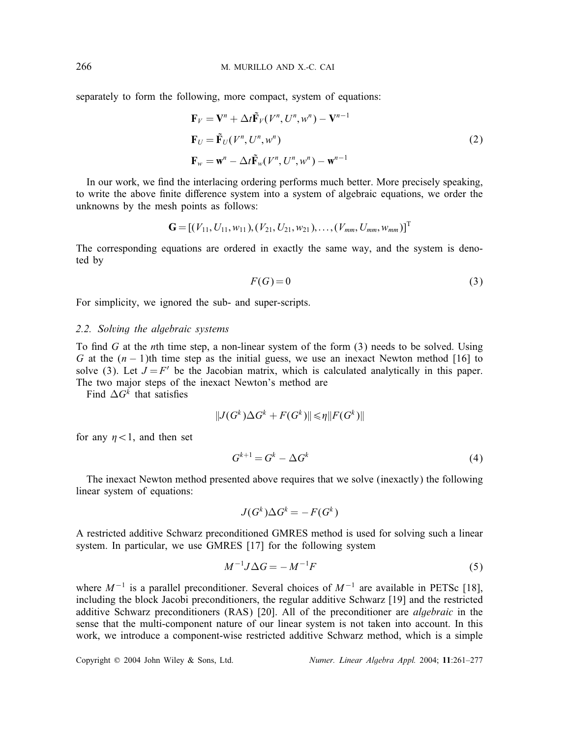separately to form the following, more compact, system of equations:

$$
\mathbf{F}_V = \mathbf{V}^n + \Delta t \tilde{\mathbf{F}}_V(V^n, U^n, w^n) - \mathbf{V}^{n-1}
$$
  
\n
$$
\mathbf{F}_U = \tilde{\mathbf{F}}_U(V^n, U^n, w^n)
$$
  
\n
$$
\mathbf{F}_w = \mathbf{w}^n - \Delta t \tilde{\mathbf{F}}_W(V^n, U^n, w^n) - \mathbf{w}^{n-1}
$$
\n(2)

In our work, we find the interlacing ordering performs much better. More precisely speaking, to write the above finite difference system into a system of algebraic equations, we order the unknowns by the mesh points as follows:

$$
\mathbf{G} = [(V_{11}, U_{11}, w_{11}), (V_{21}, U_{21}, w_{21}), \dots, (V_{mm}, U_{mm}, w_{mm})]^{\mathrm{T}}
$$

The corresponding equations are ordered in exactly the same way, and the system is denoted by

$$
F(G) = 0 \tag{3}
$$

For simplicity, we ignored the sub- and super-scripts.

#### *2.2. Solving the algebraic systems*

To find G at the *n*th time step, a non-linear system of the form  $(3)$  needs to be solved. Using G at the  $(n - 1)$ th time step as the initial guess, we use an inexact Newton method [16] to solve (3). Let  $J = F'$  be the Jacobian matrix, which is calculated analytically in this paper. The two major steps of the inexact Newton's method are

Find  $\Delta G^k$  that satisfies

$$
||J(G^k)\Delta G^k + F(G^k)|| \leq \eta ||F(G^k)||
$$

for any  $\eta$  < 1, and then set

$$
G^{k+1} = G^k - \Delta G^k \tag{4}
$$

The inexact Newton method presented above requires that we solve (inexactly) the following linear system of equations:

$$
J(G^k)\Delta G^k = -F(G^k)
$$

A restricted additive Schwarz preconditioned GMRES method is used for solving such a linear system. In particular, we use GMRES [17] for the following system

$$
M^{-1}J\Delta G = -M^{-1}F\tag{5}
$$

where  $M^{-1}$  is a parallel preconditioner. Several choices of  $M^{-1}$  are available in PETSc [18], including the block Jacobi preconditioners, the regular additive Schwarz [19] and the restricted additive Schwarz preconditioners (RAS) [20]. All of the preconditioner are *algebraic* in the sense that the multi-component nature of our linear system is not taken into account. In this work, we introduce a component-wise restricted additive Schwarz method, which is a simple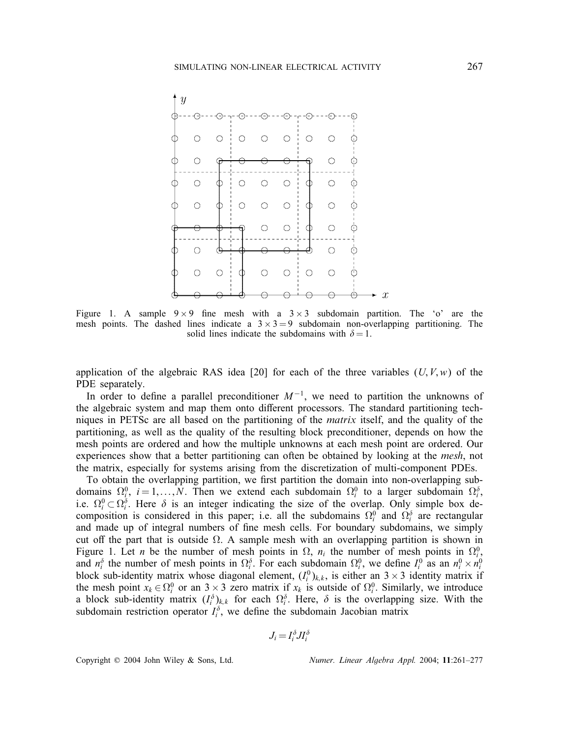

Figure 1. A sample  $9 \times 9$  fine mesh with a  $3 \times 3$  subdomain partition. The 'o' are the mesh points. The dashed lines indicate a  $3 \times 3 = 9$  subdomain non-overlapping partitioning. The solid lines indicate the subdomains with  $\delta = 1$ .

application of the algebraic RAS idea [20] for each of the three variables  $(U, V, w)$  of the PDE separately.

In order to define a parallel preconditioner  $M^{-1}$ , we need to partition the unknowns of the algebraic system and map them onto different processors. The standard partitioning techniques in PETSc are all based on the partitioning of the *matrix* itself, and the quality of the partitioning, as well as the quality of the resulting block preconditioner, depends on how the mesh points are ordered and how the multiple unknowns at each mesh point are ordered. Our experiences show that a better partitioning can often be obtained by looking at the *mesh*, not the matrix, especially for systems arising from the discretization of multi-component PDEs.

To obtain the overlapping partition, we first partition the domain into non-overlapping subdomains  $\Omega_i^0$ ,  $i = 1, ..., N$ . Then we extend each subdomain  $\Omega_i^0$  to a larger subdomain  $\Omega_i^{\delta}$ , i.e.  $\Omega_i^0 \subset \Omega_i^{\delta}$ . Here  $\delta$  is an integer indicating the size of the overlap. Only simple box decomposition is considered in this paper; i.e. all the subdomains  $\Omega_i^0$  and  $\Omega_i^{\delta}$  are rectangular and made up of integral numbers of fine mesh cells. For boundary subdomains, we simply cut off the part that is outside  $\Omega$ . A sample mesh with an overlapping partition is shown in Figure 1. Let *n* be the number of mesh points in  $\Omega$ ,  $n_i$  the number of mesh points in  $\Omega_i^0$ , and  $n_i^{\delta}$  the number of mesh points in  $\Omega_i^{\delta}$ . For each subdomain  $\Omega_i^0$ , we define  $I_i^0$  as an  $n_i^0 \times n_i^0$ block sub-identity matrix whose diagonal element,  $(I_i^0)_{k,k}$ , is either an  $3 \times 3$  identity matrix if the mesh point  $x_k \in \Omega_i^0$  or an  $3 \times 3$  zero matrix if  $x_k$  is outside of  $\Omega_i^0$ . Similarly, we introduce a block sub-identity matrix  $(I_i^{\delta})_{k,k}$  for each  $\Omega_i^{\delta}$ . Here,  $\delta$  is the overlapping size. With the subdomain restriction operator  $I_i^{\delta}$ , we define the subdomain Jacobian matrix

$$
J_i = I_i^{\delta} J I_i^{\delta}
$$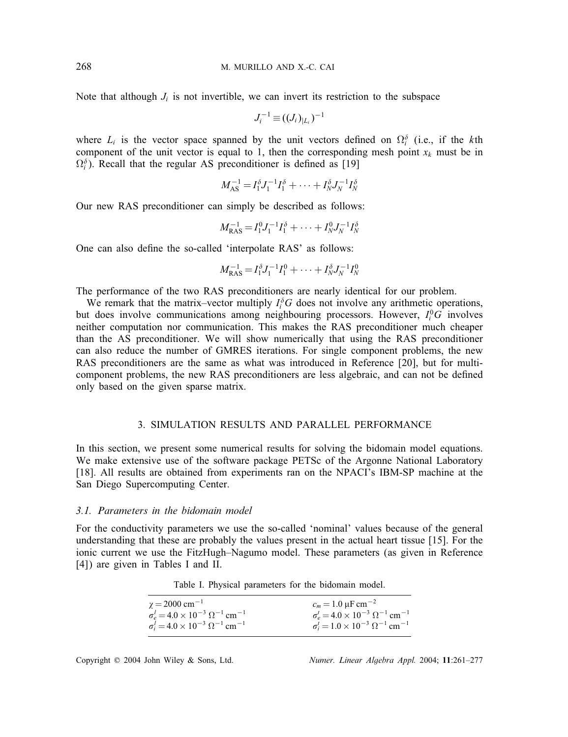Note that although  $J_i$  is not invertible, we can invert its restriction to the subspace

$$
J_i^{-1} \equiv ((J_i)_{|L_i})^{-1}
$$

where  $L_i$  is the vector space spanned by the unit vectors defined on  $\Omega_i^{\delta}$  (i.e., if the kth component of the unit vector is equal to 1, then the corresponding mesh point  $x_k$  must be in  $\Omega_i^{\delta}$ ). Recall that the regular AS preconditioner is defined as [19]

$$
M_{\rm AS}^{-1} = I_1^{\delta} J_1^{-1} I_1^{\delta} + \cdots + I_N^{\delta} J_N^{-1} I_N^{\delta}
$$

Our new RAS preconditioner can simply be described as follows:

$$
M_{\rm RAS}^{-1} = I_1^0 J_1^{-1} I_1^{\delta} + \cdots + I_N^0 J_N^{-1} I_N^{\delta}
$$

One can also define the so-called 'interpolate RAS' as follows:

$$
M_{\rm RAS}^{-1} = I_1^{\delta} J_1^{-1} I_1^0 + \cdots + I_N^{\delta} J_N^{-1} I_N^0
$$

The performance of the two RAS preconditioners are nearly identical for our problem.

We remark that the matrix–vector multiply  $I_i^{\delta}G$  does not involve any arithmetic operations, but does involve communications among neighbouring processors. However,  $I_i^0$ G involves neither computation nor communication. This makes the RAS preconditioner much cheaper than the AS preconditioner. We will show numerically that using the RAS preconditioner can also reduce the number of GMRES iterations. For single component problems, the new RAS preconditioners are the same as what was introduced in Reference [20], but for multicomponent problems, the new RAS preconditioners are less algebraic, and can not be defined only based on the given sparse matrix.

#### 3. SIMULATION RESULTS AND PARALLEL PERFORMANCE

In this section, we present some numerical results for solving the bidomain model equations. We make extensive use of the software package PETSc of the Argonne National Laboratory [18]. All results are obtained from experiments ran on the NPACI's IBM-SP machine at the San Diego Supercomputing Center.

### *3.1. Parameters in the bidomain model*

For the conductivity parameters we use the so-called 'nominal' values because of the general understanding that these are probably the values present in the actual heart tissue [15]. For the ionic current we use the FitzHugh–Nagumo model. These parameters (as given in Reference [4]) are given in Tables I and II.

Table I. Physical parameters for the bidomain model.

| $\gamma = 2000 \text{ cm}^{-1}$                                | $c_m = 1.0 \,\mu\text{F cm}^{-2}$                              |
|----------------------------------------------------------------|----------------------------------------------------------------|
| $\sigma_e^l = 4.0 \times 10^{-3} \Omega^{-1}$ cm <sup>-1</sup> | $\sigma_e^t = 4.0 \times 10^{-3} \Omega^{-1}$ cm <sup>-1</sup> |
| $\sigma_i^l = 4.0 \times 10^{-3} \Omega^{-1}$ cm <sup>-1</sup> | $\sigma_i^t = 1.0 \times 10^{-3} \Omega^{-1}$ cm <sup>-1</sup> |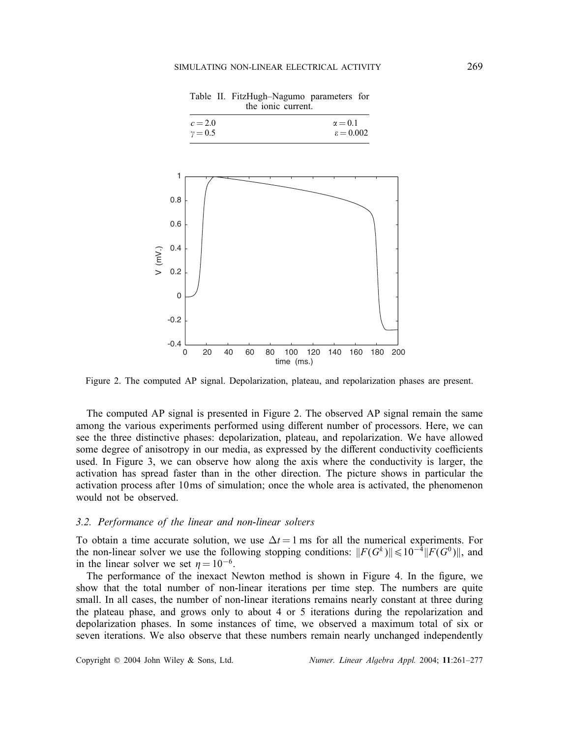Table II. FitzHugh–Nagumo parameters for the ionic current.

 $\alpha = 0.1$ 

 $c = 2.0$ 



Figure 2. The computed AP signal. Depolarization, plateau, and repolarization phases are present.

The computed AP signal is presented in Figure 2. The observed AP signal remain the same among the various experiments performed using different number of processors. Here, we can see the three distinctive phases: depolarization, plateau, and repolarization. We have allowed some degree of anisotropy in our media, as expressed by the different conductivity coefficients used. In Figure 3, we can observe how along the axis where the conductivity is larger, the activation has spread faster than in the other direction. The picture shows in particular the activation process after 10ms of simulation; once the whole area is activated, the phenomenon would not be observed.

#### *3.2. Performance of the linear and non-linear solvers*

To obtain a time accurate solution, we use  $\Delta t = 1$  ms for all the numerical experiments. For the non-linear solver we use the following stopping conditions:  $||F(G^k)|| \le 10^{-4} ||F(G^0)||$ , and in the linear solver we set  $\eta = 10^{-6}$ .

The performance of the inexact Newton method is shown in Figure 4. In the figure, we show that the total number of non-linear iterations per time step. The numbers are quite small. In all cases, the number of non-linear iterations remains nearly constant at three during the plateau phase, and grows only to about 4 or 5 iterations during the repolarization and depolarization phases. In some instances of time, we observed a maximum total of six or seven iterations. We also observe that these numbers remain nearly unchanged independently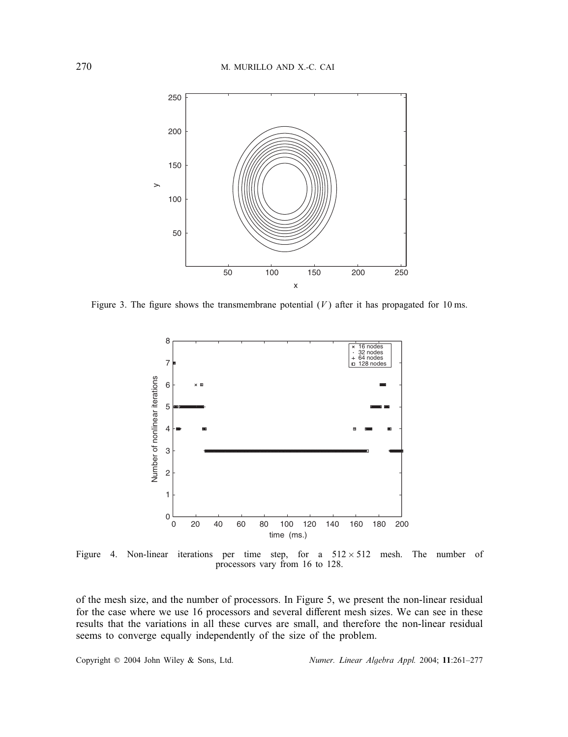

Figure 3. The figure shows the transmembrane potential  $(V)$  after it has propagated for 10 ms.



Figure 4. Non-linear iterations per time step, for a  $512 \times 512$  mesh. The number of processors vary from 16 to 128.

of the mesh size, and the number of processors. In Figure 5, we present the non-linear residual for the case where we use 16 processors and several different mesh sizes. We can see in these results that the variations in all these curves are small, and therefore the non-linear residual seems to converge equally independently of the size of the problem.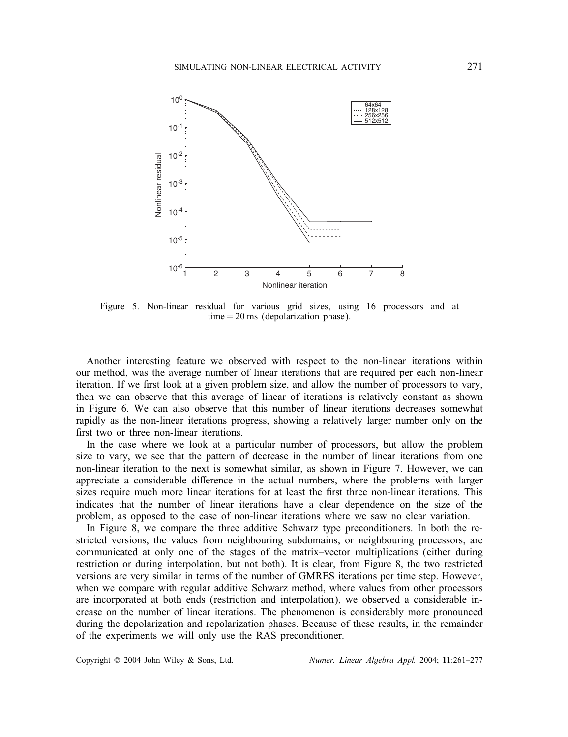

Figure 5. Non-linear residual for various grid sizes, using 16 processors and at  $time = 20$  ms (depolarization phase).

Another interesting feature we observed with respect to the non-linear iterations within our method, was the average number of linear iterations that are required per each non-linear iteration. If we first look at a given problem size, and allow the number of processors to vary, then we can observe that this average of linear of iterations is relatively constant as shown in Figure 6. We can also observe that this number of linear iterations decreases somewhat rapidly as the non-linear iterations progress, showing a relatively larger number only on the first two or three non-linear iterations.

In the case where we look at a particular number of processors, but allow the problem size to vary, we see that the pattern of decrease in the number of linear iterations from one non-linear iteration to the next is somewhat similar, as shown in Figure 7. However, we can appreciate a considerable difference in the actual numbers, where the problems with larger sizes require much more linear iterations for at least the first three non-linear iterations. This indicates that the number of linear iterations have a clear dependence on the size of the problem, as opposed to the case of non-linear iterations where we saw no clear variation.

In Figure 8, we compare the three additive Schwarz type preconditioners. In both the restricted versions, the values from neighbouring subdomains, or neighbouring processors, are communicated at only one of the stages of the matrix–vector multiplications (either during restriction or during interpolation, but not both). It is clear, from Figure 8, the two restricted versions are very similar in terms of the number of GMRES iterations per time step. However, when we compare with regular additive Schwarz method, where values from other processors are incorporated at both ends (restriction and interpolation), we observed a considerable increase on the number of linear iterations. The phenomenon is considerably more pronounced during the depolarization and repolarization phases. Because of these results, in the remainder of the experiments we will only use the RAS preconditioner.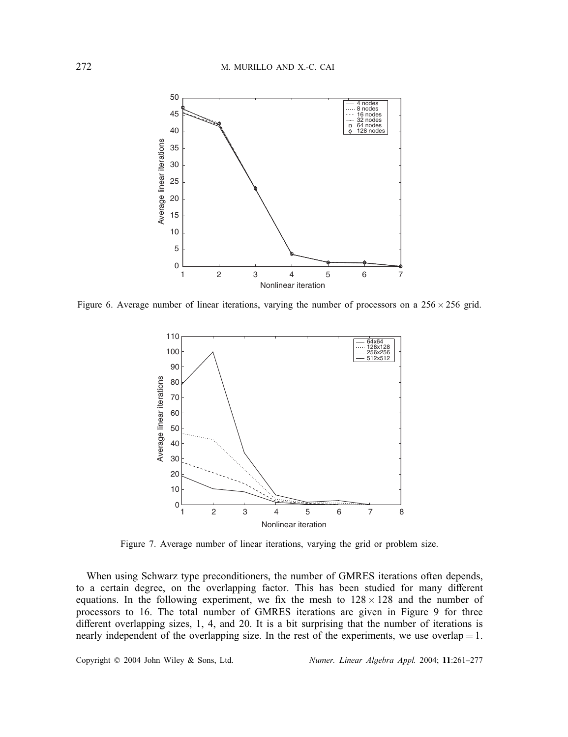

Figure 6. Average number of linear iterations, varying the number of processors on a  $256 \times 256$  grid.



Figure 7. Average number of linear iterations, varying the grid or problem size.

When using Schwarz type preconditioners, the number of GMRES iterations often depends, to a certain degree, on the overlapping factor. This has been studied for many different equations. In the following experiment, we fix the mesh to  $128 \times 128$  and the number of processors to 16. The total number of GMRES iterations are given in Figure 9 for three different overlapping sizes, 1, 4, and 20. It is a bit surprising that the number of iterations is nearly independent of the overlapping size. In the rest of the experiments, we use overlap  $= 1$ .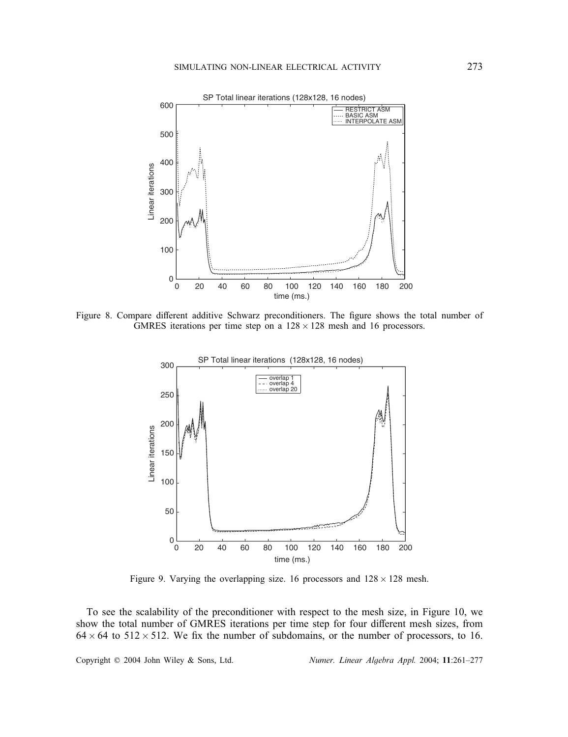

Figure 8. Compare different additive Schwarz preconditioners. The figure shows the total number of GMRES iterations per time step on a  $128 \times 128$  mesh and 16 processors.



Figure 9. Varying the overlapping size. 16 processors and  $128 \times 128$  mesh.

To see the scalability of the preconditioner with respect to the mesh size, in Figure 10, we show the total number of GMRES iterations per time step for four different mesh sizes, from  $64 \times 64$  to  $512 \times 512$ . We fix the number of subdomains, or the number of processors, to 16.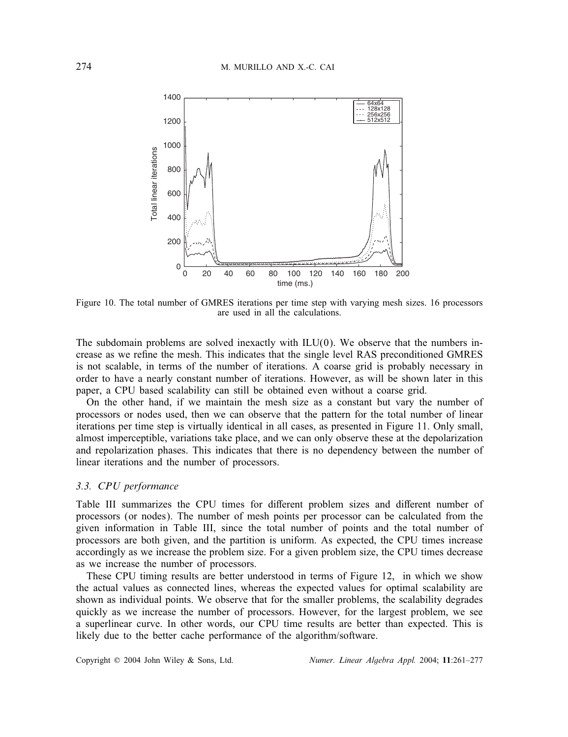

Figure 10. The total number of GMRES iterations per time step with varying mesh sizes. 16 processors are used in all the calculations.

The subdomain problems are solved inexactly with  $ILU(0)$ . We observe that the numbers increase as we refine the mesh. This indicates that the single level RAS preconditioned GMRES is not scalable, in terms of the number of iterations. A coarse grid is probably necessary in order to have a nearly constant number of iterations. However, as will be shown later in this paper, a CPU based scalability can still be obtained even without a coarse grid.

On the other hand, if we maintain the mesh size as a constant but vary the number of processors or nodes used, then we can observe that the pattern for the total number of linear iterations per time step is virtually identical in all cases, as presented in Figure 11. Only small, almost imperceptible, variations take place, and we can only observe these at the depolarization and repolarization phases. This indicates that there is no dependency between the number of linear iterations and the number of processors.

#### *3.3. CPU performance*

Table III summarizes the CPU times for different problem sizes and different number of processors (or nodes). The number of mesh points per processor can be calculated from the given information in Table III, since the total number of points and the total number of processors are both given, and the partition is uniform. As expected, the CPU times increase accordingly as we increase the problem size. For a given problem size, the CPU times decrease as we increase the number of processors.

These CPU timing results are better understood in terms of Figure 12, in which we show the actual values as connected lines, whereas the expected values for optimal scalability are shown as individual points. We observe that for the smaller problems, the scalability degrades quickly as we increase the number of processors. However, for the largest problem, we see a superlinear curve. In other words, our CPU time results are better than expected. This is likely due to the better cache performance of the algorithm/software.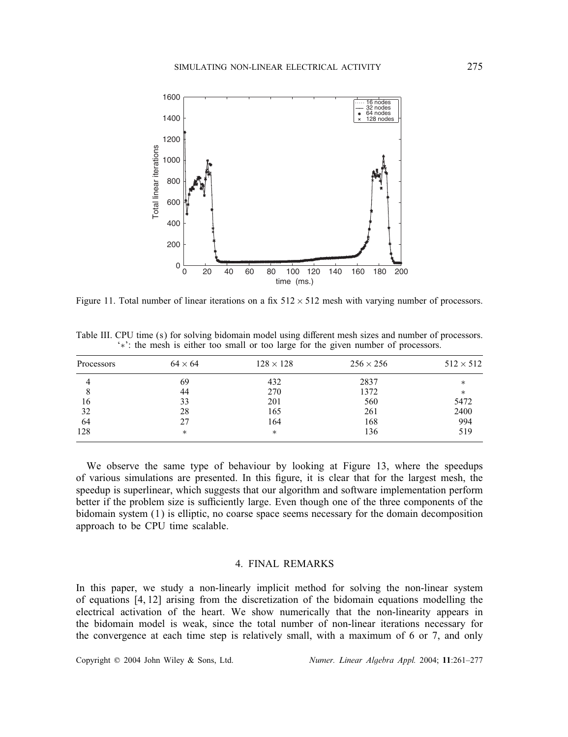

Figure 11. Total number of linear iterations on a fix  $512 \times 512$  mesh with varying number of processors.

Table III. CPU time (s) for solving bidomain model using different mesh sizes and number of processors. '∗': the mesh is either too small or too large for the given number of processors.

| Processors | $64 \times 64$ | $128 \times 128$ | $256 \times 256$ | $512 \times 512$ |
|------------|----------------|------------------|------------------|------------------|
|            | 69             | 432              | 2837             | *                |
| 8          | 44             | 270              | 1372             | $\ast$           |
| 16         | 33             | 201              | 560              | 5472             |
| 32         | 28             | 165              | 261              | 2400             |
| 64         | 27             | 164              | 168              | 994              |
| 128        | *              | $\ast$           | 136              | 519              |

We observe the same type of behaviour by looking at Figure 13, where the speedups of various simulations are presented. In this figure, it is clear that for the largest mesh, the speedup is superlinear, which suggests that our algorithm and software implementation perform better if the problem size is sufficiently large. Even though one of the three components of the bidomain system (1) is elliptic, no coarse space seems necessary for the domain decomposition approach to be CPU time scalable.

### 4. FINAL REMARKS

In this paper, we study a non-linearly implicit method for solving the non-linear system of equations [4, 12] arising from the discretization of the bidomain equations modelling the electrical activation of the heart. We show numerically that the non-linearity appears in the bidomain model is weak, since the total number of non-linear iterations necessary for the convergence at each time step is relatively small, with a maximum of 6 or 7, and only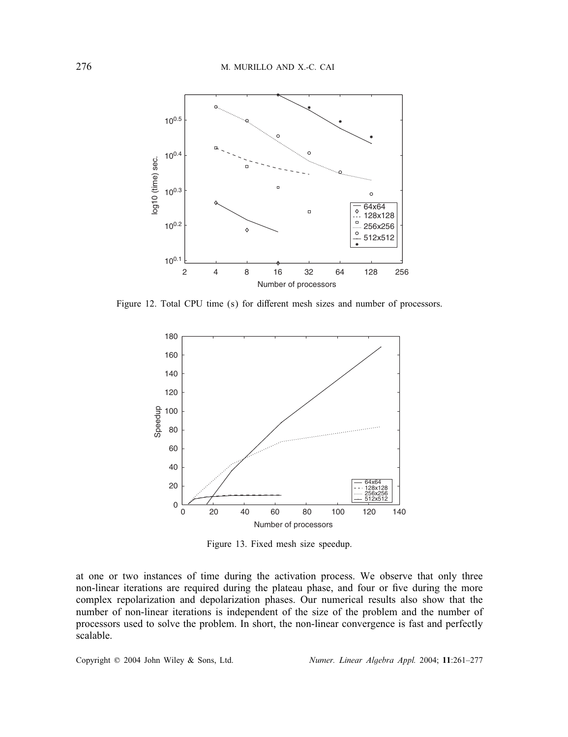

Figure 12. Total CPU time (s) for different mesh sizes and number of processors.



Figure 13. Fixed mesh size speedup.

at one or two instances of time during the activation process. We observe that only three non-linear iterations are required during the plateau phase, and four or five during the more complex repolarization and depolarization phases. Our numerical results also show that the number of non-linear iterations is independent of the size of the problem and the number of processors used to solve the problem. In short, the non-linear convergence is fast and perfectly scalable.